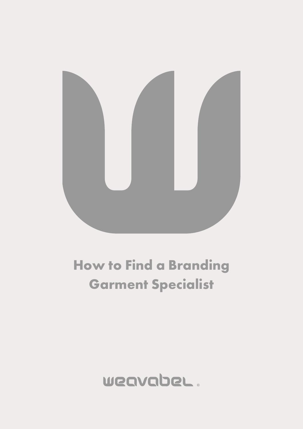

# **How to Find a Branding Garment Specialist**

# WeavabeL.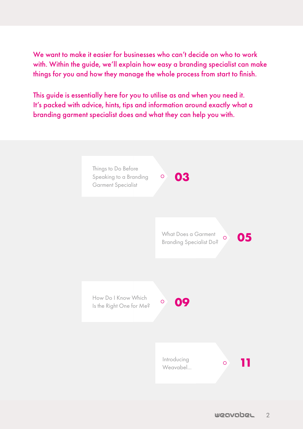We want to make it easier for businesses who can't decide on who to work with. Within the guide, we'll explain how easy a branding specialist can make things for you and how they manage the whole process from start to finish.

This guide is essentially here for you to utilise as and when you need it. It's packed with advice, hints, tips and information around exactly what a branding garment specialist does and what they can help you with.

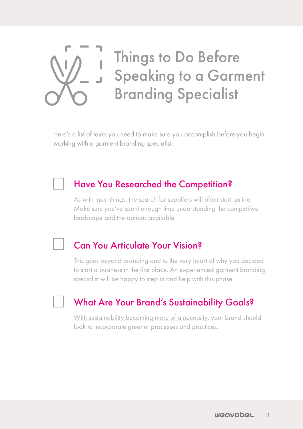<span id="page-2-0"></span>

Things to Do Before Speaking to a Garment Branding Specialist

Here's a list of tasks you need to make sure you accomplish before you begin working with a garment branding specialist.

### Have You Researched the Competition?

As with most things, the search for suppliers will often start online. Make sure you've spent enough time understanding the competitive landscape and the options available.

## Can You Articulate Your Vision?

This goes beyond branding and to the very heart of why you decided to start a business in the first place. An experienced garment branding specialist will be happy to step in and help with this phase.

# What Are Your Brand's Sustainability Goals?

[With sustainability becoming more of a necessity,](https://blog.weavabel.com/fast-fashion-and-sustainability-will-the-two-ever-get-along) your brand should look to incorporate greener processes and practices.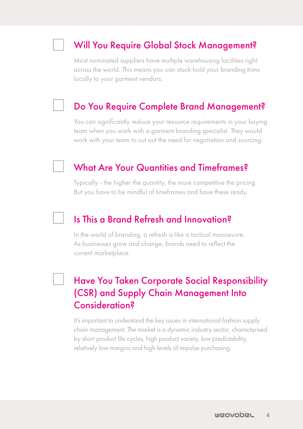## Will You Require Global Stock Management?

Most nominated suppliers have multiple warehousing facilities right across the world. This means you can stock hold your branding trims locally to your garment vendors.

#### Do You Require Complete Brand Management?

You can significantly reduce your resource requirements in your buying team when you work with a garment branding specialist. They would work with your team to cut out the need for negotiation and sourcing.

#### What Are Your Quantities and Timeframes?

Typically - the higher the quantity, the more competitive the pricing. But you have to be mindful of timeframes and have these ready.

#### Is This a Brand Refresh and Innovation?

In the world of branding, a refresh is like a tactical manoeuvre. As businesses grow and change, brands need to reflect the current marketplace.

# Have You Taken Corporate Social Responsibility (CSR) and Supply Chain Management Into Consideration?

It's important to understand the key issues in international fashion supply chain management. The market is a dynamic industry sector, characterised by short product life cycles, high product variety, low predictability, relatively low margins and high levels of impulse purchasing.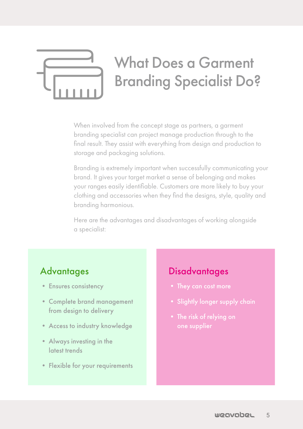# <span id="page-4-0"></span>What Does a Garment Branding Specialist Do?

When involved from the concept stage as partners, a garment branding specialist can project manage production through to the final result. They assist with everything from design and production to storage and packaging solutions.

Branding is extremely important when successfully communicating your brand. It gives your target market a sense of belonging and makes your ranges easily identifiable. Customers are more likely to buy your clothing and accessories when they find the designs, style, quality and branding harmonious.

Here are the advantages and disadvantages of working alongside a specialist:

## **Advantages**

- Ensures consistency
- Complete brand management from design to delivery
- Access to industry knowledge
- Always investing in the latest trends
- Flexible for your requirements

#### **Disadvantages**

- They can cost more
- Slightly longer supply chain
- The risk of relying on one supplier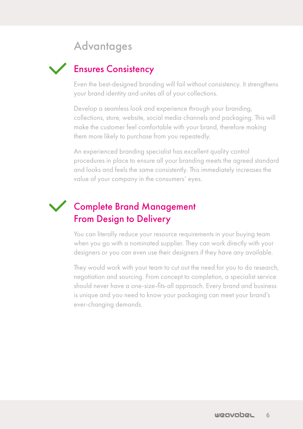# **Advantages**

# Ensures Consistency

Even the best-designed branding will fail without consistency. It strengthens your brand identity and unites all of your collections.

Develop a seamless look and experience through your branding, collections, store, website, social media channels and packaging. This will make the customer feel comfortable with your brand, therefore making them more likely to purchase from you repeatedly.

An experienced branding specialist has excellent quality control procedures in place to ensure all your branding meets the agreed standard and looks and feels the same consistently. This immediately increases the value of your company in the consumers' eyes.

# Complete Brand Management From Design to Delivery

You can literally reduce your resource requirements in your buying team when you go with a nominated supplier. They can work directly with your designers or you can even use their designers if they have any available.

They would work with your team to cut out the need for you to do research, negotiation and sourcing. From concept to completion, a specialist service should never have a one-size-fits-all approach. Every brand and business is unique and you need to know your packaging can meet your brand's ever-changing demands.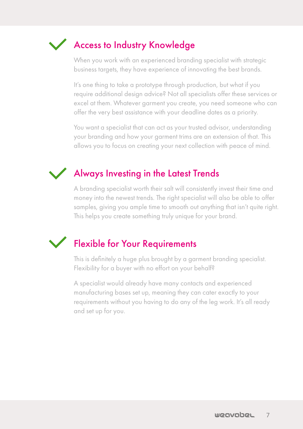

When you work with an experienced branding specialist with strategic business targets, they have experience of innovating the best brands.

It's one thing to take a prototype through production, but what if you require additional design advice? Not all specialists offer these services or excel at them. Whatever garment you create, you need someone who can offer the very best assistance with your deadline dates as a priority.

You want a specialist that can act as your trusted advisor, understanding your branding and how your garment trims are an extension of that. This allows you to focus on creating your next collection with peace of mind.

# Always Investing in the Latest Trends

A branding specialist worth their salt will consistently invest their time and money into the newest trends. The right specialist will also be able to offer samples, giving you ample time to smooth out anything that isn't quite right. This helps you create something truly unique for your brand.

# Flexible for Your Requirements

This is definitely a huge plus brought by a garment branding specialist. Flexibility for a buyer with no effort on your behalf?

A specialist would already have many contacts and experienced manufacturing bases set up, meaning they can cater exactly to your requirements without you having to do any of the leg work. It's all ready and set up for you.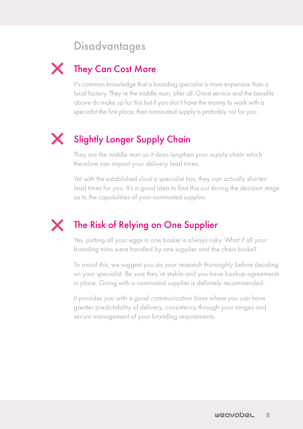# **Disadvantages**

# They Can Cost More

It's common knowledge that a branding specialist is more expensive than a local factory. They're the middle man, after all. Great service and the benefits above do make up for this but if you don't have the money to work with a specialist the first place, then nominated supply is probably not for you.

# Slightly Longer Supply Chain

They are the middle man so it does lengthen your supply chain which therefore can impact your delivery lead times.

Yet with the established clout a specialist has, they can actually shorten lead times for you. It's a good idea to find this out during the decision stage as to the capabilities of your nominated supplier.

# The Risk of Relying on One Supplier

Yes, putting all your eggs in one basket is always risky. What if all your branding trims were handled by one supplier and the chain broke?

To avoid this, we suggest you do your research thoroughly before deciding on your specialist. Be sure they're stable and you have backup agreements in place. Going with a nominated supplier is definitely recommended.

It provides you with a good communication base where you can have greater predictability of delivery, consistency through your ranges and secure management of your branding requirements.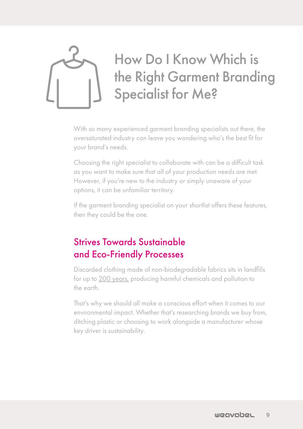<span id="page-8-0"></span>

With so many experienced garment branding specialists out there, the oversaturated industry can leave you wondering who's the best fit for your brand's needs.

Choosing the right specialist to collaborate with can be a difficult task as you want to make sure that all of your production needs are met. However, if you're new to the industry or simply unaware of your options, it can be unfamiliar territory.

If the garment branding specialist on your shortlist offers these features, then they could be the one.

# Strives Towards Sustainable and Eco-Friendly Processes

Discarded clothing made of non-biodegradable fabrics sits in landfills for up to [200 years,](https://www.close-the-loop.be/en/phase/3/end-of-life) producing harmful chemicals and pollution to the earth.

That's why we should all make a conscious effort when it comes to our environmental impact. Whether that's researching brands we buy from, ditching plastic or choosing to work alongside a manufacturer whose key driver is sustainability.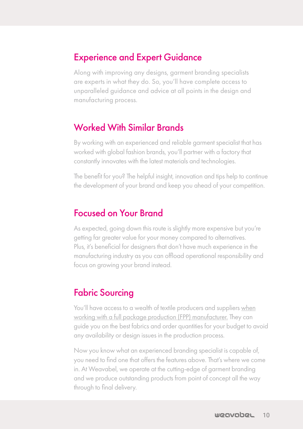#### Experience and Expert Guidance

Along with improving any designs, garment branding specialists are experts in what they do. So, you'll have complete access to unparalleled guidance and advice at all points in the design and manufacturing process.

### Worked With Similar Brands

By working with an experienced and reliable garment specialist that has worked with global fashion brands, you'll partner with a factory that constantly innovates with the latest materials and technologies.

The benefit for you? The helpful insight, innovation and tips help to continue the development of your brand and keep you ahead of your competition.

## Focused on Your Brand

As expected, going down this route is slightly more expensive but you're getting far greater value for your money compared to alternatives. Plus, it's beneficial for designers that don't have much experience in the manufacturing industry as you can offload operational responsibility and focus on growing your brand instead.

## Fabric Sourcing

You'll have access to a wealth of textile producers and suppliers [when](https://blog.weavabel.com/what-why-how-all-about-full-package-production) [working with a full package production \(FPP\) manufacturer.](https://blog.weavabel.com/what-why-how-all-about-full-package-production) They can guide you on the best fabrics and order quantities for your budget to avoid any availability or design issues in the production process.

Now you know what an experienced branding specialist is capable of, you need to find one that offers the features above. That's where we come in. At Weavabel, we operate at the cutting-edge of garment branding and we produce outstanding products from point of concept all the way through to final delivery.